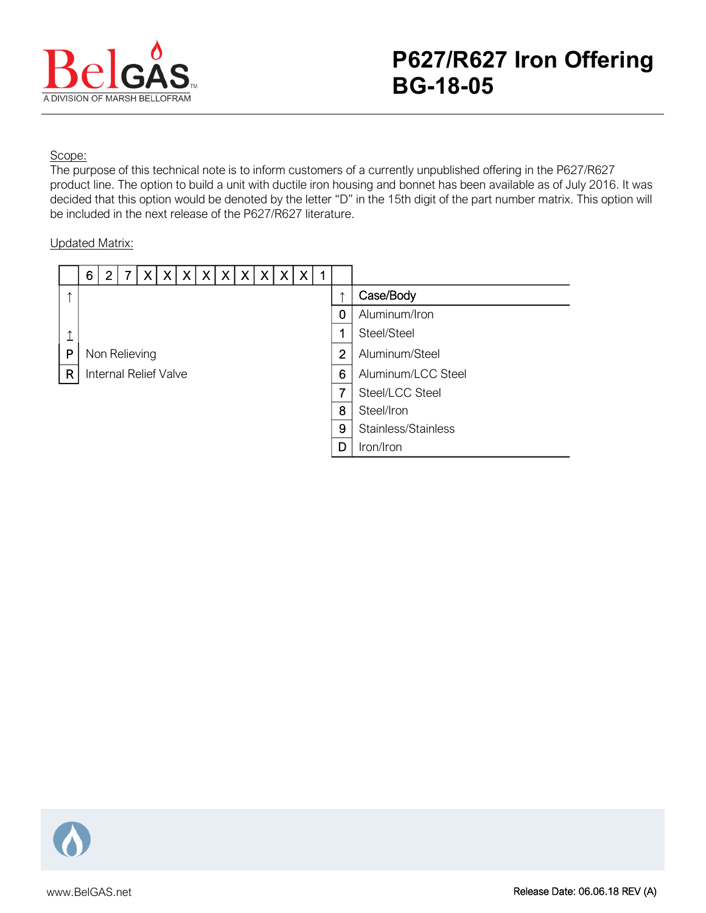

## Scope:

The purpose of this technical note is to inform customers of a currently unpublished offering in the P627/R627 product line. The option to build a unit with ductile iron housing and bonnet has been available as of July 2016. It was decided that this option would be denoted by the letter "D" in the 15th digit of the part number matrix. This option will be included in the next release of the P627/R627 literature.

## Updated Matrix:

|               | 6 | 2 | 7 | ΧI                    | $\vert X \vert$ | $\vert X \vert$ | X | X X | X | $\mathsf{X}$ | $\boldsymbol{\mathsf{X}}$ |                |                     |
|---------------|---|---|---|-----------------------|-----------------|-----------------|---|-----|---|--------------|---------------------------|----------------|---------------------|
| $\rightarrow$ |   |   |   |                       |                 |                 |   |     |   |              |                           |                | Case/Body           |
|               |   |   |   |                       |                 |                 |   |     |   |              |                           | 0              | Aluminum/Iron       |
| ↑             |   |   |   |                       |                 |                 |   |     |   |              |                           | 1              | Steel/Steel         |
| P             |   |   |   | Non Relieving         |                 |                 |   |     |   |              |                           | $\overline{2}$ | Aluminum/Steel      |
| $\mathsf{R}$  |   |   |   | Internal Relief Valve |                 |                 |   |     |   |              |                           | 6              | Aluminum/LCC Steel  |
|               |   |   |   |                       |                 |                 |   |     |   |              |                           | 7              | Steel/LCC Steel     |
|               |   |   |   |                       |                 |                 |   |     |   |              |                           | 8              | Steel/Iron          |
|               |   |   |   |                       |                 |                 |   |     |   |              |                           | 9              | Stainless/Stainless |
|               |   |   |   |                       |                 |                 |   |     |   |              |                           | D              | Iron/Iron           |